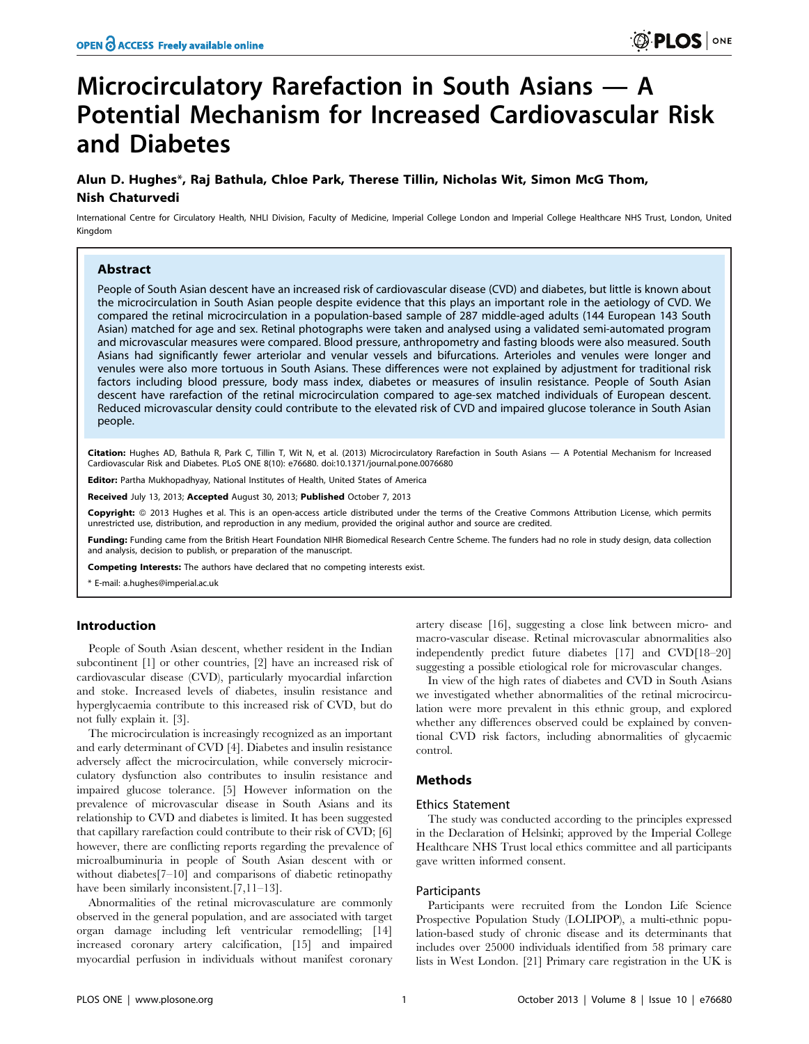# Microcirculatory Rarefaction in South Asians — A Potential Mechanism for Increased Cardiovascular Risk and Diabetes

# Alun D. Hughes\*, Raj Bathula, Chloe Park, Therese Tillin, Nicholas Wit, Simon McG Thom, Nish Chaturvedi

International Centre for Circulatory Health, NHLI Division, Faculty of Medicine, Imperial College London and Imperial College Healthcare NHS Trust, London, United Kingdom

# Abstract

People of South Asian descent have an increased risk of cardiovascular disease (CVD) and diabetes, but little is known about the microcirculation in South Asian people despite evidence that this plays an important role in the aetiology of CVD. We compared the retinal microcirculation in a population-based sample of 287 middle-aged adults (144 European 143 South Asian) matched for age and sex. Retinal photographs were taken and analysed using a validated semi-automated program and microvascular measures were compared. Blood pressure, anthropometry and fasting bloods were also measured. South Asians had significantly fewer arteriolar and venular vessels and bifurcations. Arterioles and venules were longer and venules were also more tortuous in South Asians. These differences were not explained by adjustment for traditional risk factors including blood pressure, body mass index, diabetes or measures of insulin resistance. People of South Asian descent have rarefaction of the retinal microcirculation compared to age-sex matched individuals of European descent. Reduced microvascular density could contribute to the elevated risk of CVD and impaired glucose tolerance in South Asian people.

Citation: Hughes AD, Bathula R, Park C, Tillin T, Wit N, et al. (2013) Microcirculatory Rarefaction in South Asians - A Potential Mechanism for Increased Cardiovascular Risk and Diabetes. PLoS ONE 8(10): e76680. doi:10.1371/journal.pone.0076680

Editor: Partha Mukhopadhyay, National Institutes of Health, United States of America

Received July 13, 2013; Accepted August 30, 2013; Published October 7, 2013

Copyright: © 2013 Hughes et al. This is an open-access article distributed under the terms of the Creative Commons Attribution License, which permits unrestricted use, distribution, and reproduction in any medium, provided the original author and source are credited.

Funding: Funding came from the British Heart Foundation NIHR Biomedical Research Centre Scheme. The funders had no role in study design, data collection and analysis, decision to publish, or preparation of the manuscript.

Competing Interests: The authors have declared that no competing interests exist.

\* E-mail: a.hughes@imperial.ac.uk

## Introduction

People of South Asian descent, whether resident in the Indian subcontinent [1] or other countries, [2] have an increased risk of cardiovascular disease (CVD), particularly myocardial infarction and stoke. Increased levels of diabetes, insulin resistance and hyperglycaemia contribute to this increased risk of CVD, but do not fully explain it. [3].

The microcirculation is increasingly recognized as an important and early determinant of CVD [4]. Diabetes and insulin resistance adversely affect the microcirculation, while conversely microcirculatory dysfunction also contributes to insulin resistance and impaired glucose tolerance. [5] However information on the prevalence of microvascular disease in South Asians and its relationship to CVD and diabetes is limited. It has been suggested that capillary rarefaction could contribute to their risk of CVD; [6] however, there are conflicting reports regarding the prevalence of microalbuminuria in people of South Asian descent with or without diabetes<sup>[7–10]</sup> and comparisons of diabetic retinopathy have been similarly inconsistent.[7,11–13].

Abnormalities of the retinal microvasculature are commonly observed in the general population, and are associated with target organ damage including left ventricular remodelling; [14] increased coronary artery calcification, [15] and impaired myocardial perfusion in individuals without manifest coronary artery disease [16], suggesting a close link between micro- and macro-vascular disease. Retinal microvascular abnormalities also independently predict future diabetes [17] and CVD[18–20] suggesting a possible etiological role for microvascular changes.

In view of the high rates of diabetes and CVD in South Asians we investigated whether abnormalities of the retinal microcirculation were more prevalent in this ethnic group, and explored whether any differences observed could be explained by conventional CVD risk factors, including abnormalities of glycaemic control.

# Methods

# Ethics Statement

The study was conducted according to the principles expressed in the Declaration of Helsinki; approved by the Imperial College Healthcare NHS Trust local ethics committee and all participants gave written informed consent.

## Participants

Participants were recruited from the London Life Science Prospective Population Study (LOLIPOP), a multi-ethnic population-based study of chronic disease and its determinants that includes over 25000 individuals identified from 58 primary care lists in West London. [21] Primary care registration in the UK is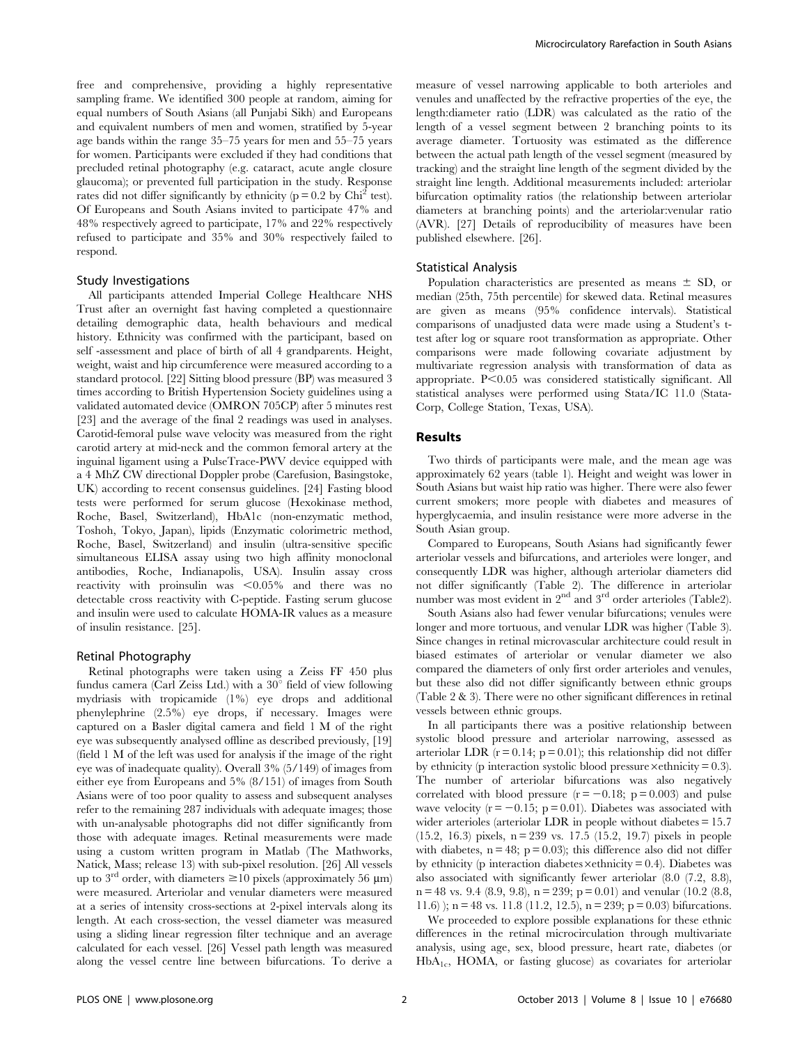free and comprehensive, providing a highly representative sampling frame. We identified 300 people at random, aiming for equal numbers of South Asians (all Punjabi Sikh) and Europeans and equivalent numbers of men and women, stratified by 5-year age bands within the range 35–75 years for men and 55–75 years for women. Participants were excluded if they had conditions that precluded retinal photography (e.g. cataract, acute angle closure glaucoma); or prevented full participation in the study. Response rates did not differ significantly by ethnicity ( $p = 0.2$  by Chi<sup>2</sup> test). Of Europeans and South Asians invited to participate 47% and 48% respectively agreed to participate, 17% and 22% respectively refused to participate and 35% and 30% respectively failed to respond.

#### Study Investigations

All participants attended Imperial College Healthcare NHS Trust after an overnight fast having completed a questionnaire detailing demographic data, health behaviours and medical history. Ethnicity was confirmed with the participant, based on self -assessment and place of birth of all 4 grandparents. Height, weight, waist and hip circumference were measured according to a standard protocol. [22] Sitting blood pressure (BP) was measured 3 times according to British Hypertension Society guidelines using a validated automated device (OMRON 705CP) after 5 minutes rest [23] and the average of the final 2 readings was used in analyses. Carotid-femoral pulse wave velocity was measured from the right carotid artery at mid-neck and the common femoral artery at the inguinal ligament using a PulseTrace-PWV device equipped with a 4 MhZ CW directional Doppler probe (Carefusion, Basingstoke, UK) according to recent consensus guidelines. [24] Fasting blood tests were performed for serum glucose (Hexokinase method, Roche, Basel, Switzerland), HbA1c (non-enzymatic method, Toshoh, Tokyo, Japan), lipids (Enzymatic colorimetric method, Roche, Basel, Switzerland) and insulin (ultra-sensitive specific simultaneous ELISA assay using two high affinity monoclonal antibodies, Roche, Indianapolis, USA). Insulin assay cross reactivity with proinsulin was  $\leq 0.05\%$  and there was no detectable cross reactivity with C-peptide. Fasting serum glucose and insulin were used to calculate HOMA-IR values as a measure of insulin resistance. [25].

#### Retinal Photography

Retinal photographs were taken using a Zeiss FF 450 plus fundus camera (Carl Zeiss Ltd.) with a  $30^{\circ}$  field of view following mydriasis with tropicamide (1%) eye drops and additional phenylephrine (2.5%) eye drops, if necessary. Images were captured on a Basler digital camera and field 1 M of the right eye was subsequently analysed offline as described previously, [19] (field 1 M of the left was used for analysis if the image of the right eye was of inadequate quality). Overall 3% (5/149) of images from either eye from Europeans and 5% (8/151) of images from South Asians were of too poor quality to assess and subsequent analyses refer to the remaining 287 individuals with adequate images; those with un-analysable photographs did not differ significantly from those with adequate images. Retinal measurements were made using a custom written program in Matlab (The Mathworks, Natick, Mass; release 13) with sub-pixel resolution. [26] All vessels up to 3<sup>rd</sup> order, with diameters  $\geq 10$  pixels (approximately 56 µm) were measured. Arteriolar and venular diameters were measured at a series of intensity cross-sections at 2-pixel intervals along its length. At each cross-section, the vessel diameter was measured using a sliding linear regression filter technique and an average calculated for each vessel. [26] Vessel path length was measured along the vessel centre line between bifurcations. To derive a

measure of vessel narrowing applicable to both arterioles and venules and unaffected by the refractive properties of the eye, the length:diameter ratio (LDR) was calculated as the ratio of the length of a vessel segment between 2 branching points to its average diameter. Tortuosity was estimated as the difference between the actual path length of the vessel segment (measured by tracking) and the straight line length of the segment divided by the straight line length. Additional measurements included: arteriolar bifurcation optimality ratios (the relationship between arteriolar diameters at branching points) and the arteriolar:venular ratio (AVR). [27] Details of reproducibility of measures have been published elsewhere. [26].

# Statistical Analysis

Population characteristics are presented as means  $\pm$  SD, or median (25th, 75th percentile) for skewed data. Retinal measures are given as means (95% confidence intervals). Statistical comparisons of unadjusted data were made using a Student's ttest after log or square root transformation as appropriate. Other comparisons were made following covariate adjustment by multivariate regression analysis with transformation of data as appropriate. P<0.05 was considered statistically significant. All statistical analyses were performed using Stata/IC 11.0 (Stata-Corp, College Station, Texas, USA).

# Results

Two thirds of participants were male, and the mean age was approximately 62 years (table 1). Height and weight was lower in South Asians but waist hip ratio was higher. There were also fewer current smokers; more people with diabetes and measures of hyperglycaemia, and insulin resistance were more adverse in the South Asian group.

Compared to Europeans, South Asians had significantly fewer arteriolar vessels and bifurcations, and arterioles were longer, and consequently LDR was higher, although arteriolar diameters did not differ significantly (Table 2). The difference in arteriolar number was most evident in  $2<sup>nd</sup>$  and  $3<sup>rd</sup>$  order arterioles (Table2).

South Asians also had fewer venular bifurcations; venules were longer and more tortuous, and venular LDR was higher (Table 3). Since changes in retinal microvascular architecture could result in biased estimates of arteriolar or venular diameter we also compared the diameters of only first order arterioles and venules, but these also did not differ significantly between ethnic groups (Table 2 & 3). There were no other significant differences in retinal vessels between ethnic groups.

In all participants there was a positive relationship between systolic blood pressure and arteriolar narrowing, assessed as arteriolar LDR ( $r = 0.14$ ;  $p = 0.01$ ); this relationship did not differ by ethnicity (p interaction systolic blood pressure  $\times$  ethnicity = 0.3). The number of arteriolar bifurcations was also negatively correlated with blood pressure  $(r = -0.18; p = 0.003)$  and pulse wave velocity  $(r = -0.15; p = 0.01)$ . Diabetes was associated with wider arterioles (arteriolar LDR in people without diabetes = 15.7  $(15.2, 16.3)$  pixels, n = 239 vs. 17.5  $(15.2, 19.7)$  pixels in people with diabetes,  $n = 48$ ;  $p = 0.03$ ); this difference also did not differ by ethnicity (p interaction diabetes  $\times$ ethnicity = 0.4). Diabetes was also associated with significantly fewer arteriolar (8.0 (7.2, 8.8),  $n = 48$  vs. 9.4 (8.9, 9.8),  $n = 239$ ;  $p = 0.01$ ) and venular (10.2 (8.8, 11.6) ); n = 48 vs. 11.8 (11.2, 12.5), n = 239; p = 0.03) bifurcations.

We proceeded to explore possible explanations for these ethnic differences in the retinal microcirculation through multivariate analysis, using age, sex, blood pressure, heart rate, diabetes (or  $HbA<sub>1c</sub>$ , HOMA, or fasting glucose) as covariates for arteriolar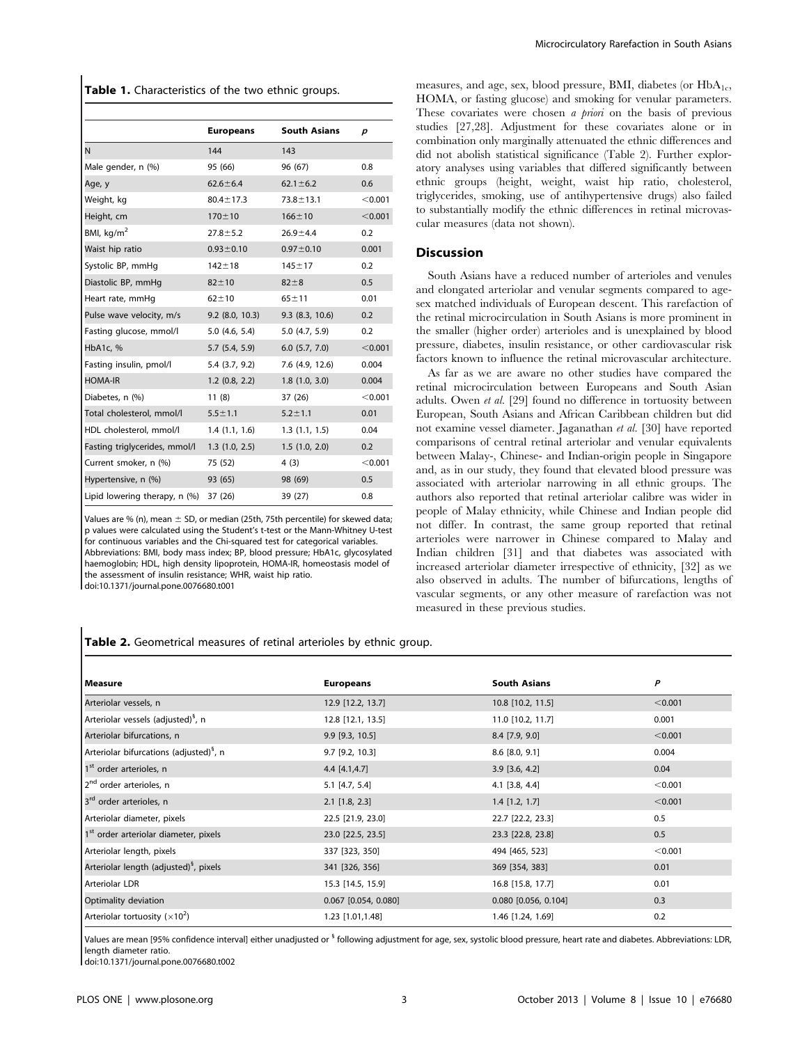Table 1. Characteristics of the two ethnic groups.

|                               | <b>Europeans</b>  | <b>South Asians</b> | р       |
|-------------------------------|-------------------|---------------------|---------|
| N                             | 144               | 143                 |         |
| Male gender, n (%)            | 95 (66)           | 96 (67)             | 0.8     |
| Age, y                        | $62.6 \pm 6.4$    | $62.1 \pm 6.2$      | 0.6     |
| Weight, kg                    | $80.4 \pm 17.3$   | $73.8 \pm 13.1$     | < 0.001 |
| Height, cm                    | $170 + 10$        | $166 \pm 10$        | < 0.001 |
| BMI, $kg/m2$                  | $27.8 \pm 5.2$    | $26.9 + 4.4$        | 0.2     |
| Waist hip ratio               | $0.93 \pm 0.10$   | $0.97 \pm 0.10$     | 0.001   |
| Systolic BP, mmHg             | $142 + 18$        | $145 \pm 17$        | 0.2     |
| Diastolic BP, mmHg            | $82 + 10$         | $82 + 8$            | 0.5     |
| Heart rate, mmHq              | $62 + 10$         | $65 + 11$           | 0.01    |
| Pulse wave velocity, m/s      | $9.2$ (8.0, 10.3) | 9.3(8.3, 10.6)      | 0.2     |
| Fasting glucose, mmol/l       | 5.0(4.6, 5.4)     | 5.0(4.7, 5.9)       | 0.2     |
| HbA1c, %                      | 5.7(5.4, 5.9)     | $6.0$ $(5.7, 7.0)$  | < 0.001 |
| Fasting insulin, pmol/l       | 5.4 (3.7, 9.2)    | 7.6 (4.9, 12.6)     | 0.004   |
| <b>HOMA-IR</b>                | 1.2(0.8, 2.2)     | 1.8(1.0, 3.0)       | 0.004   |
| Diabetes, n (%)               | 11(8)             | 37 (26)             | < 0.001 |
| Total cholesterol, mmol/l     | $5.5 \pm 1.1$     | $5.2 \pm 1.1$       | 0.01    |
| HDL cholesterol, mmol/l       | 1.4(1.1, 1.6)     | 1.3(1.1, 1.5)       | 0.04    |
| Fasting triglycerides, mmol/l | 1.3(1.0, 2.5)     | 1.5(1.0, 2.0)       | 0.2     |
| Current smoker, n (%)         | 75 (52)           | 4(3)                | < 0.001 |
| Hypertensive, n (%)           | 93 (65)           | 98 (69)             | 0.5     |
| Lipid lowering therapy, n (%) | 37 (26)           | 39 (27)             | 0.8     |

Values are % (n), mean  $\pm$  SD, or median (25th, 75th percentile) for skewed data; p values were calculated using the Student's t-test or the Mann-Whitney U-test for continuous variables and the Chi-squared test for categorical variables. Abbreviations: BMI, body mass index; BP, blood pressure; HbA1c, glycosylated haemoglobin; HDL, high density lipoprotein, HOMA-IR, homeostasis model of the assessment of insulin resistance; WHR, waist hip ratio. doi:10.1371/journal.pone.0076680.t001

measures, and age, sex, blood pressure, BMI, diabetes (or  $HbA_{1c}$ , HOMA, or fasting glucose) and smoking for venular parameters. These covariates were chosen *a priori* on the basis of previous studies [27,28]. Adjustment for these covariates alone or in combination only marginally attenuated the ethnic differences and did not abolish statistical significance (Table 2). Further exploratory analyses using variables that differed significantly between ethnic groups (height, weight, waist hip ratio, cholesterol, triglycerides, smoking, use of antihypertensive drugs) also failed to substantially modify the ethnic differences in retinal microvascular measures (data not shown).

#### Discussion

South Asians have a reduced number of arterioles and venules and elongated arteriolar and venular segments compared to agesex matched individuals of European descent. This rarefaction of the retinal microcirculation in South Asians is more prominent in the smaller (higher order) arterioles and is unexplained by blood pressure, diabetes, insulin resistance, or other cardiovascular risk factors known to influence the retinal microvascular architecture.

As far as we are aware no other studies have compared the retinal microcirculation between Europeans and South Asian adults. Owen et al. [29] found no difference in tortuosity between European, South Asians and African Caribbean children but did not examine vessel diameter. Jaganathan et al. [30] have reported comparisons of central retinal arteriolar and venular equivalents between Malay-, Chinese- and Indian-origin people in Singapore and, as in our study, they found that elevated blood pressure was associated with arteriolar narrowing in all ethnic groups. The authors also reported that retinal arteriolar calibre was wider in people of Malay ethnicity, while Chinese and Indian people did not differ. In contrast, the same group reported that retinal arterioles were narrower in Chinese compared to Malay and Indian children [31] and that diabetes was associated with increased arteriolar diameter irrespective of ethnicity, [32] as we also observed in adults. The number of bifurcations, lengths of vascular segments, or any other measure of rarefaction was not measured in these previous studies.

Table 2. Geometrical measures of retinal arterioles by ethnic group.

| l Measure                                           | <b>Europeans</b>       | <b>South Asians</b>     | P       |
|-----------------------------------------------------|------------------------|-------------------------|---------|
| Arteriolar vessels, n                               | 12.9 [12.2, 13.7]      | 10.8 [10.2, 11.5]       | < 0.001 |
| Arteriolar vessels (adjusted) <sup>8</sup> , n      | 12.8 [12.1, 13.5]      | 11.0 [10.2, 11.7]       | 0.001   |
| Arteriolar bifurcations, n                          | $9.9$ [9.3, 10.5]      | $8.4$ [7.9, 9.0]        | < 0.001 |
| Arteriolar bifurcations (adjusted) <sup>8</sup> , n | $9.7$ [9.2, 10.3]      | $8.6$ [ $8.0$ , $9.1$ ] | 0.004   |
| 1 <sup>st</sup> order arterioles, n                 | 4.4 [4.1,4.7]          | $3.9$ [3.6, 4.2]        | 0.04    |
| 2 <sup>nd</sup> order arterioles, n                 | $5.1$ [4.7, 5.4]       | $4.1$ [3.8, 4.4]        | < 0.001 |
| 3 <sup>rd</sup> order arterioles, n                 | $2.1$ [1.8, 2.3]       | $1.4$ [1.2, 1.7]        | < 0.001 |
| Arteriolar diameter, pixels                         | 22.5 [21.9, 23.0]      | 22.7 [22.2, 23.3]       | 0.5     |
| 1 <sup>st</sup> order arteriolar diameter, pixels   | 23.0 [22.5, 23.5]      | 23.3 [22.8, 23.8]       | 0.5     |
| Arteriolar length, pixels                           | 337 [323, 350]         | 494 [465, 523]          | < 0.001 |
| Arteriolar length (adjusted) <sup>8</sup> , pixels  | 341 [326, 356]         | 369 [354, 383]          | 0.01    |
| Arteriolar LDR                                      | 15.3 [14.5, 15.9]      | 16.8 [15.8, 17.7]       | 0.01    |
| Optimality deviation                                | $0.067$ [0.054, 0.080] | $0.080$ [0.056, 0.104]  | 0.3     |
| Arteriolar tortuosity ( $\times$ 10 <sup>2</sup> )  | 1.23 [1.01,1.48]       | 1.46 [1.24, 1.69]       | 0.2     |

Values are mean [95% confidence interval] either unadjusted or <sup>§</sup> following adjustment for age, sex, systolic blood pressure, heart rate and diabetes. Abbreviations: LDR, length diameter ratio.

doi:10.1371/journal.pone.0076680.t002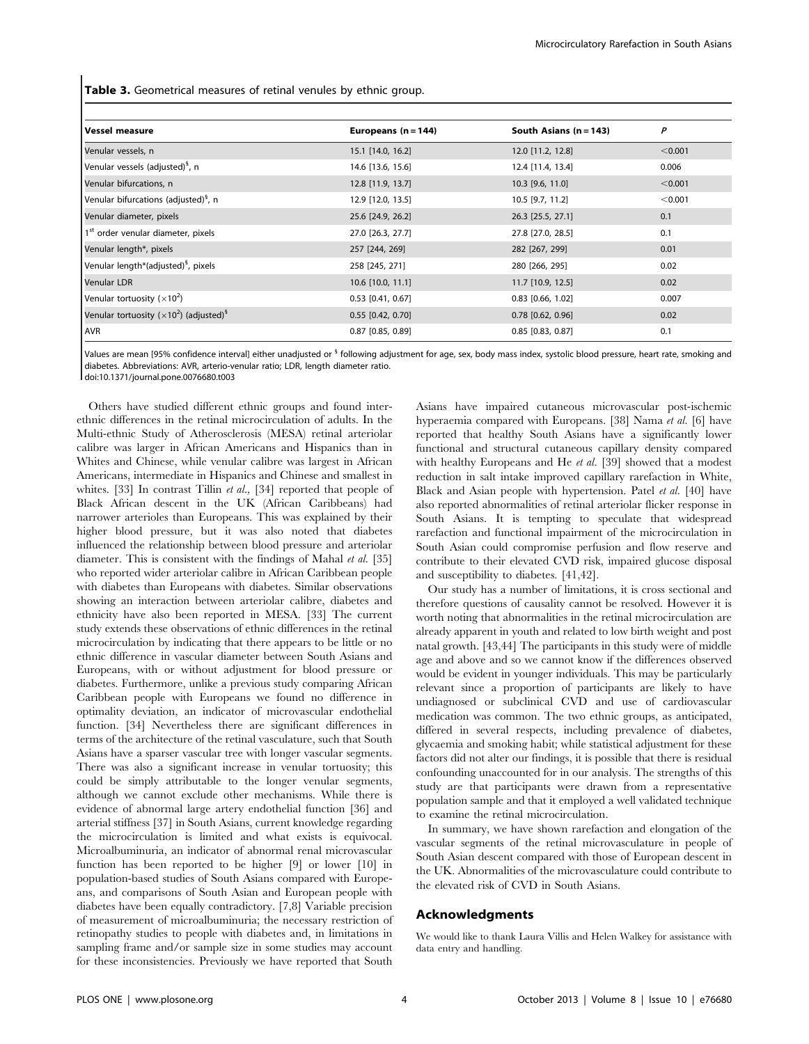Table 3. Geometrical measures of retinal venules by ethnic group.

| <b>Vessel measure</b>                                                   | Europeans $(n = 144)$ | South Asians $(n = 143)$ | P       |
|-------------------------------------------------------------------------|-----------------------|--------------------------|---------|
| Venular vessels, n                                                      | 15.1 [14.0, 16.2]     | 12.0 [11.2, 12.8]        | < 0.001 |
| Venular vessels (adjusted) <sup>§</sup> , n                             | 14.6 [13.6, 15.6]     | 12.4 [11.4, 13.4]        | 0.006   |
| Venular bifurcations, n                                                 | 12.8 [11.9, 13.7]     | 10.3 [9.6, 11.0]         | < 0.001 |
| Venular bifurcations (adjusted) <sup>8</sup> , n                        | 12.9 [12.0, 13.5]     | 10.5 [9.7, 11.2]         | < 0.001 |
| Venular diameter, pixels                                                | 25.6 [24.9, 26.2]     | 26.3 [25.5, 27.1]        | 0.1     |
| 1 <sup>st</sup> order venular diameter, pixels                          | 27.0 [26.3, 27.7]     | 27.8 [27.0, 28.5]        | 0.1     |
| Venular length*, pixels                                                 | 257 [244, 269]        | 282 [267, 299]           | 0.01    |
| Venular length*(adjusted) <sup>§</sup> , pixels                         | 258 [245, 271]        | 280 [266, 295]           | 0.02    |
| Venular LDR                                                             | 10.6 [10.0, 11.1]     | 11.7 [10.9, 12.5]        | 0.02    |
| Venular tortuosity ( $\times$ 10 <sup>2</sup> )                         | $0.53$ [0.41, 0.67]   | $0.83$ [0.66, 1.02]      | 0.007   |
| Venular tortuosity ( $\times$ 10 <sup>2</sup> ) (adjusted) <sup>§</sup> | $0.55$ [0.42, 0.70]   | $0.78$ [0.62, 0.96]      | 0.02    |
| <b>AVR</b>                                                              | $0.87$ [0.85, 0.89]   | $0.85$ [0.83, 0.87]      | 0.1     |

Values are mean [95% confidence interval] either unadjusted or <sup>§</sup> following adjustment for age, sex, body mass index, systolic blood pressure, heart rate, smoking and diabetes. Abbreviations: AVR, arterio-venular ratio; LDR, length diameter ratio.

doi:10.1371/journal.pone.0076680.t003

Others have studied different ethnic groups and found interethnic differences in the retinal microcirculation of adults. In the Multi-ethnic Study of Atherosclerosis (MESA) retinal arteriolar calibre was larger in African Americans and Hispanics than in Whites and Chinese, while venular calibre was largest in African Americans, intermediate in Hispanics and Chinese and smallest in whites. [33] In contrast Tillin *et al.*, [34] reported that people of Black African descent in the UK (African Caribbeans) had narrower arterioles than Europeans. This was explained by their higher blood pressure, but it was also noted that diabetes influenced the relationship between blood pressure and arteriolar diameter. This is consistent with the findings of Mahal et al. [35] who reported wider arteriolar calibre in African Caribbean people with diabetes than Europeans with diabetes. Similar observations showing an interaction between arteriolar calibre, diabetes and ethnicity have also been reported in MESA. [33] The current study extends these observations of ethnic differences in the retinal microcirculation by indicating that there appears to be little or no ethnic difference in vascular diameter between South Asians and Europeans, with or without adjustment for blood pressure or diabetes. Furthermore, unlike a previous study comparing African Caribbean people with Europeans we found no difference in optimality deviation, an indicator of microvascular endothelial function. [34] Nevertheless there are significant differences in terms of the architecture of the retinal vasculature, such that South Asians have a sparser vascular tree with longer vascular segments. There was also a significant increase in venular tortuosity; this could be simply attributable to the longer venular segments, although we cannot exclude other mechanisms. While there is evidence of abnormal large artery endothelial function [36] and arterial stiffness [37] in South Asians, current knowledge regarding the microcirculation is limited and what exists is equivocal. Microalbuminuria, an indicator of abnormal renal microvascular function has been reported to be higher [9] or lower [10] in population-based studies of South Asians compared with Europeans, and comparisons of South Asian and European people with diabetes have been equally contradictory. [7,8] Variable precision of measurement of microalbuminuria; the necessary restriction of retinopathy studies to people with diabetes and, in limitations in sampling frame and/or sample size in some studies may account for these inconsistencies. Previously we have reported that South

Asians have impaired cutaneous microvascular post-ischemic hyperaemia compared with Europeans. [38] Nama et al. [6] have reported that healthy South Asians have a significantly lower functional and structural cutaneous capillary density compared with healthy Europeans and He et al. [39] showed that a modest reduction in salt intake improved capillary rarefaction in White, Black and Asian people with hypertension. Patel et al. [40] have also reported abnormalities of retinal arteriolar flicker response in South Asians. It is tempting to speculate that widespread rarefaction and functional impairment of the microcirculation in South Asian could compromise perfusion and flow reserve and contribute to their elevated CVD risk, impaired glucose disposal and susceptibility to diabetes. [41,42].

Our study has a number of limitations, it is cross sectional and therefore questions of causality cannot be resolved. However it is worth noting that abnormalities in the retinal microcirculation are already apparent in youth and related to low birth weight and post natal growth. [43,44] The participants in this study were of middle age and above and so we cannot know if the differences observed would be evident in younger individuals. This may be particularly relevant since a proportion of participants are likely to have undiagnosed or subclinical CVD and use of cardiovascular medication was common. The two ethnic groups, as anticipated, differed in several respects, including prevalence of diabetes, glycaemia and smoking habit; while statistical adjustment for these factors did not alter our findings, it is possible that there is residual confounding unaccounted for in our analysis. The strengths of this study are that participants were drawn from a representative population sample and that it employed a well validated technique to examine the retinal microcirculation.

In summary, we have shown rarefaction and elongation of the vascular segments of the retinal microvasculature in people of South Asian descent compared with those of European descent in the UK. Abnormalities of the microvasculature could contribute to the elevated risk of CVD in South Asians.

# Acknowledgments

We would like to thank Laura Villis and Helen Walkey for assistance with data entry and handling.